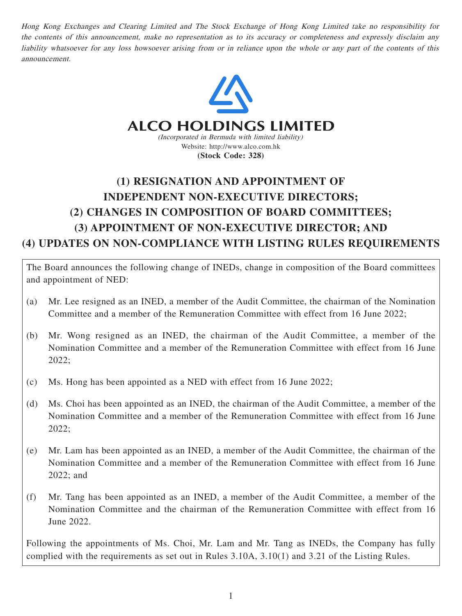Hong Kong Exchanges and Clearing Limited and The Stock Exchange of Hong Kong Limited take no responsibility for the contents of this announcement, make no representation as to its accuracy or completeness and expressly disclaim any liability whatsoever for any loss howsoever arising from or in reliance upon the whole or any part of the contents of this announcement.



## **ALCO HOLDINGS LIMITED**

(Incorporated in Bermuda with limited liability) Website: http://www.alco.com.hk **(Stock Code: 328)**

# **(1) RESIGNATION AND APPOINTMENT OF INDEPENDENT NON-EXECUTIVE DIRECTORS; (2) CHANGES IN COMPOSITION OF BOARD COMMITTEES; (3) APPOINTMENT OF NON-EXECUTIVE DIRECTOR; AND (4) UPDATES ON NON-COMPLIANCE WITH LISTING RULES REQUIREMENTS**

The Board announces the following change of INEDs, change in composition of the Board committees and appointment of NED:

- (a) Mr. Lee resigned as an INED, a member of the Audit Committee, the chairman of the Nomination Committee and a member of the Remuneration Committee with effect from 16 June 2022;
- (b) Mr. Wong resigned as an INED, the chairman of the Audit Committee, a member of the Nomination Committee and a member of the Remuneration Committee with effect from 16 June 2022;
- (c) Ms. Hong has been appointed as a NED with effect from 16 June 2022;
- (d) Ms. Choi has been appointed as an INED, the chairman of the Audit Committee, a member of the Nomination Committee and a member of the Remuneration Committee with effect from 16 June 2022;
- (e) Mr. Lam has been appointed as an INED, a member of the Audit Committee, the chairman of the Nomination Committee and a member of the Remuneration Committee with effect from 16 June 2022; and
- (f) Mr. Tang has been appointed as an INED, a member of the Audit Committee, a member of the Nomination Committee and the chairman of the Remuneration Committee with effect from 16 June 2022.

Following the appointments of Ms. Choi, Mr. Lam and Mr. Tang as INEDs, the Company has fully complied with the requirements as set out in Rules 3.10A, 3.10(1) and 3.21 of the Listing Rules.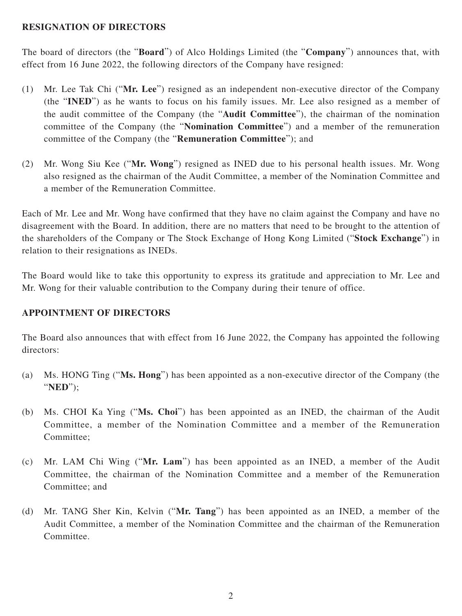#### **RESIGNATION OF DIRECTORS**

The board of directors (the "**Board**") of Alco Holdings Limited (the "**Company**") announces that, with effect from 16 June 2022, the following directors of the Company have resigned:

- (1) Mr. Lee Tak Chi ("**Mr. Lee**") resigned as an independent non-executive director of the Company (the "**INED**") as he wants to focus on his family issues. Mr. Lee also resigned as a member of the audit committee of the Company (the "**Audit Committee**"), the chairman of the nomination committee of the Company (the "**Nomination Committee**") and a member of the remuneration committee of the Company (the "**Remuneration Committee**"); and
- (2) Mr. Wong Siu Kee ("**Mr. Wong**") resigned as INED due to his personal health issues. Mr. Wong also resigned as the chairman of the Audit Committee, a member of the Nomination Committee and a member of the Remuneration Committee.

Each of Mr. Lee and Mr. Wong have confirmed that they have no claim against the Company and have no disagreement with the Board. In addition, there are no matters that need to be brought to the attention of the shareholders of the Company or The Stock Exchange of Hong Kong Limited ("**Stock Exchange**") in relation to their resignations as INEDs.

The Board would like to take this opportunity to express its gratitude and appreciation to Mr. Lee and Mr. Wong for their valuable contribution to the Company during their tenure of office.

#### **APPOINTMENT OF DIRECTORS**

The Board also announces that with effect from 16 June 2022, the Company has appointed the following directors:

- (a) Ms. HONG Ting ("**Ms. Hong**") has been appointed as a non-executive director of the Company (the "**NED**");
- (b) Ms. CHOI Ka Ying ("**Ms. Choi**") has been appointed as an INED, the chairman of the Audit Committee, a member of the Nomination Committee and a member of the Remuneration Committee;
- (c) Mr. LAM Chi Wing ("**Mr. Lam**") has been appointed as an INED, a member of the Audit Committee, the chairman of the Nomination Committee and a member of the Remuneration Committee; and
- (d) Mr. TANG Sher Kin, Kelvin ("**Mr. Tang**") has been appointed as an INED, a member of the Audit Committee, a member of the Nomination Committee and the chairman of the Remuneration Committee.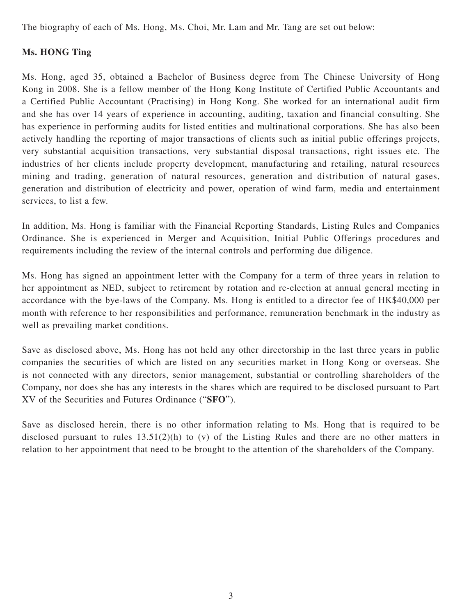The biography of each of Ms. Hong, Ms. Choi, Mr. Lam and Mr. Tang are set out below:

## **Ms. HONG Ting**

Ms. Hong, aged 35, obtained a Bachelor of Business degree from The Chinese University of Hong Kong in 2008. She is a fellow member of the Hong Kong Institute of Certified Public Accountants and a Certified Public Accountant (Practising) in Hong Kong. She worked for an international audit firm and she has over 14 years of experience in accounting, auditing, taxation and financial consulting. She has experience in performing audits for listed entities and multinational corporations. She has also been actively handling the reporting of major transactions of clients such as initial public offerings projects, very substantial acquisition transactions, very substantial disposal transactions, right issues etc. The industries of her clients include property development, manufacturing and retailing, natural resources mining and trading, generation of natural resources, generation and distribution of natural gases, generation and distribution of electricity and power, operation of wind farm, media and entertainment services, to list a few.

In addition, Ms. Hong is familiar with the Financial Reporting Standards, Listing Rules and Companies Ordinance. She is experienced in Merger and Acquisition, Initial Public Offerings procedures and requirements including the review of the internal controls and performing due diligence.

Ms. Hong has signed an appointment letter with the Company for a term of three years in relation to her appointment as NED, subject to retirement by rotation and re-election at annual general meeting in accordance with the bye-laws of the Company. Ms. Hong is entitled to a director fee of HK\$40,000 per month with reference to her responsibilities and performance, remuneration benchmark in the industry as well as prevailing market conditions.

Save as disclosed above, Ms. Hong has not held any other directorship in the last three years in public companies the securities of which are listed on any securities market in Hong Kong or overseas. She is not connected with any directors, senior management, substantial or controlling shareholders of the Company, nor does she has any interests in the shares which are required to be disclosed pursuant to Part XV of the Securities and Futures Ordinance ("**SFO**").

Save as disclosed herein, there is no other information relating to Ms. Hong that is required to be disclosed pursuant to rules 13.51(2)(h) to (v) of the Listing Rules and there are no other matters in relation to her appointment that need to be brought to the attention of the shareholders of the Company.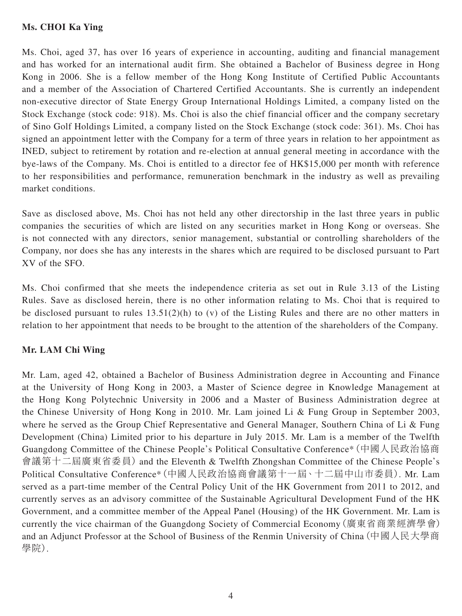### **Ms. CHOI Ka Ying**

Ms. Choi, aged 37, has over 16 years of experience in accounting, auditing and financial management and has worked for an international audit firm. She obtained a Bachelor of Business degree in Hong Kong in 2006. She is a fellow member of the Hong Kong Institute of Certified Public Accountants and a member of the Association of Chartered Certified Accountants. She is currently an independent non-executive director of State Energy Group International Holdings Limited, a company listed on the Stock Exchange (stock code: 918). Ms. Choi is also the chief financial officer and the company secretary of Sino Golf Holdings Limited, a company listed on the Stock Exchange (stock code: 361). Ms. Choi has signed an appointment letter with the Company for a term of three years in relation to her appointment as INED, subject to retirement by rotation and re-election at annual general meeting in accordance with the bye-laws of the Company. Ms. Choi is entitled to a director fee of HK\$15,000 per month with reference to her responsibilities and performance, remuneration benchmark in the industry as well as prevailing market conditions.

Save as disclosed above, Ms. Choi has not held any other directorship in the last three years in public companies the securities of which are listed on any securities market in Hong Kong or overseas. She is not connected with any directors, senior management, substantial or controlling shareholders of the Company, nor does she has any interests in the shares which are required to be disclosed pursuant to Part XV of the SFO.

Ms. Choi confirmed that she meets the independence criteria as set out in Rule 3.13 of the Listing Rules. Save as disclosed herein, there is no other information relating to Ms. Choi that is required to be disclosed pursuant to rules 13.51(2)(h) to (v) of the Listing Rules and there are no other matters in relation to her appointment that needs to be brought to the attention of the shareholders of the Company.

### **Mr. LAM Chi Wing**

Mr. Lam, aged 42, obtained a Bachelor of Business Administration degree in Accounting and Finance at the University of Hong Kong in 2003, a Master of Science degree in Knowledge Management at the Hong Kong Polytechnic University in 2006 and a Master of Business Administration degree at the Chinese University of Hong Kong in 2010. Mr. Lam joined Li & Fung Group in September 2003, where he served as the Group Chief Representative and General Manager, Southern China of Li & Fung Development (China) Limited prior to his departure in July 2015. Mr. Lam is a member of the Twelfth Guangdong Committee of the Chinese People's Political Consultative Conference\*(中國人民政治協商 會議第十二屆廣東省委員) and the Eleventh & Twelfth Zhongshan Committee of the Chinese People's Political Consultative Conference\*(中國人民政治協商會議第十一屆、十二屆中山市委員). Mr. Lam served as a part-time member of the Central Policy Unit of the HK Government from 2011 to 2012, and currently serves as an advisory committee of the Sustainable Agricultural Development Fund of the HK Government, and a committee member of the Appeal Panel (Housing) of the HK Government. Mr. Lam is currently the vice chairman of the Guangdong Society of Commercial Economy(廣東省商業經濟學會) and an Adjunct Professor at the School of Business of the Renmin University of China(中國人民大學商 學院).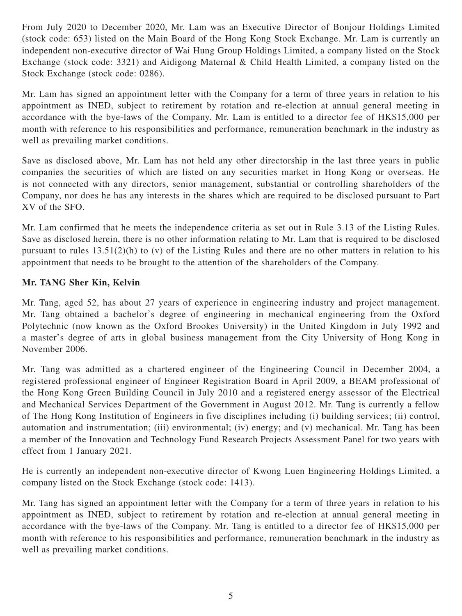From July 2020 to December 2020, Mr. Lam was an Executive Director of Bonjour Holdings Limited (stock code: 653) listed on the Main Board of the Hong Kong Stock Exchange. Mr. Lam is currently an independent non-executive director of Wai Hung Group Holdings Limited, a company listed on the Stock Exchange (stock code: 3321) and Aidigong Maternal & Child Health Limited, a company listed on the Stock Exchange (stock code: 0286).

Mr. Lam has signed an appointment letter with the Company for a term of three years in relation to his appointment as INED, subject to retirement by rotation and re-election at annual general meeting in accordance with the bye-laws of the Company. Mr. Lam is entitled to a director fee of HK\$15,000 per month with reference to his responsibilities and performance, remuneration benchmark in the industry as well as prevailing market conditions.

Save as disclosed above, Mr. Lam has not held any other directorship in the last three years in public companies the securities of which are listed on any securities market in Hong Kong or overseas. He is not connected with any directors, senior management, substantial or controlling shareholders of the Company, nor does he has any interests in the shares which are required to be disclosed pursuant to Part XV of the SFO.

Mr. Lam confirmed that he meets the independence criteria as set out in Rule 3.13 of the Listing Rules. Save as disclosed herein, there is no other information relating to Mr. Lam that is required to be disclosed pursuant to rules 13.51(2)(h) to (v) of the Listing Rules and there are no other matters in relation to his appointment that needs to be brought to the attention of the shareholders of the Company.

## **Mr. TANG Sher Kin, Kelvin**

Mr. Tang, aged 52, has about 27 years of experience in engineering industry and project management. Mr. Tang obtained a bachelor's degree of engineering in mechanical engineering from the Oxford Polytechnic (now known as the Oxford Brookes University) in the United Kingdom in July 1992 and a master's degree of arts in global business management from the City University of Hong Kong in November 2006.

Mr. Tang was admitted as a chartered engineer of the Engineering Council in December 2004, a registered professional engineer of Engineer Registration Board in April 2009, a BEAM professional of the Hong Kong Green Building Council in July 2010 and a registered energy assessor of the Electrical and Mechanical Services Department of the Government in August 2012. Mr. Tang is currently a fellow of The Hong Kong Institution of Engineers in five disciplines including (i) building services; (ii) control, automation and instrumentation; (iii) environmental; (iv) energy; and (v) mechanical. Mr. Tang has been a member of the Innovation and Technology Fund Research Projects Assessment Panel for two years with effect from 1 January 2021.

He is currently an independent non-executive director of Kwong Luen Engineering Holdings Limited, a company listed on the Stock Exchange (stock code: 1413).

Mr. Tang has signed an appointment letter with the Company for a term of three years in relation to his appointment as INED, subject to retirement by rotation and re-election at annual general meeting in accordance with the bye-laws of the Company. Mr. Tang is entitled to a director fee of HK\$15,000 per month with reference to his responsibilities and performance, remuneration benchmark in the industry as well as prevailing market conditions.